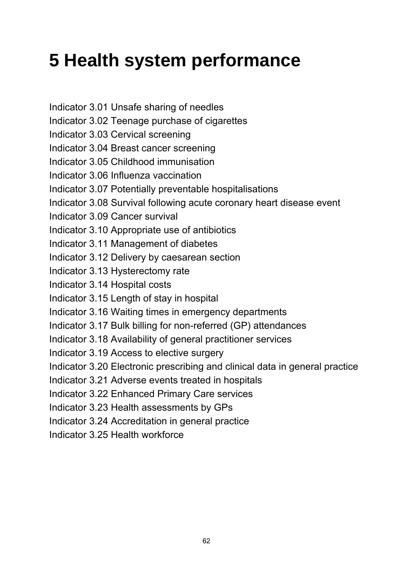# **5 Health system performance**

Indicator 3.01 Unsafe sharing of needles Indicator 3.02 Teenage purchase of cigarettes Indicator 3.03 Cervical screening Indicator 3.04 Breast cancer screening Indicator 3.05 Childhood immunisation Indicator 3.06 Influenza vaccination Indicator 3.07 Potentially preventable hospitalisations Indicator 3.08 Survival following acute coronary heart disease event Indicator 3.09 Cancer survival Indicator 3.10 Appropriate use of antibiotics Indicator 3.11 Management of diabetes Indicator 3.12 Delivery by caesarean section Indicator 3.13 Hysterectomy rate Indicator 3.14 Hospital costs Indicator 3.15 Length of stay in hospital Indicator 3.16 Waiting times in emergency departments Indicator 3.17 Bulk billing for non-referred (GP) attendances Indicator 3.18 Availability of general practitioner services Indicator 3.19 Access to elective surgery Indicator 3.20 Electronic prescribing and clinical data in general practice Indicator 3.21 Adverse events treated in hospitals Indicator 3.22 Enhanced Primary Care services Indicator 3.23 Health assessments by GPs Indicator 3.24 Accreditation in general practice Indicator 3.25 Health workforce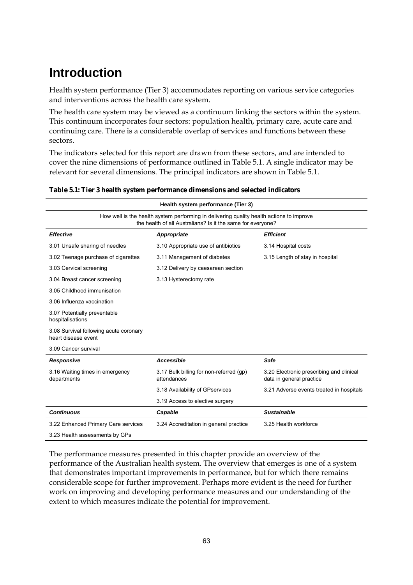# **Introduction**

Health system performance (Tier 3) accommodates reporting on various service categories and interventions across the health care system.

The health care system may be viewed as a continuum linking the sectors within the system. This continuum incorporates four sectors: population health, primary care, acute care and continuing care. There is a considerable overlap of services and functions between these sectors.

The indicators selected for this report are drawn from these sectors, and are intended to cover the nine dimensions of performance outlined in Table 5.1. A single indicator may be relevant for several dimensions. The principal indicators are shown in Table 5.1.

| Health system performance (Tier 3)                                                                                                                      |                                                        |                                                                      |  |  |
|---------------------------------------------------------------------------------------------------------------------------------------------------------|--------------------------------------------------------|----------------------------------------------------------------------|--|--|
| How well is the health system performing in delivering quality health actions to improve<br>the health of all Australians? Is it the same for everyone? |                                                        |                                                                      |  |  |
| <b>Effective</b>                                                                                                                                        | Appropriate                                            | <b>Efficient</b>                                                     |  |  |
| 3.01 Unsafe sharing of needles                                                                                                                          | 3.10 Appropriate use of antibiotics                    | 3.14 Hospital costs                                                  |  |  |
| 3.02 Teenage purchase of cigarettes                                                                                                                     | 3.11 Management of diabetes                            | 3.15 Length of stay in hospital                                      |  |  |
| 3.03 Cervical screening                                                                                                                                 | 3.12 Delivery by caesarean section                     |                                                                      |  |  |
| 3.04 Breast cancer screening                                                                                                                            | 3.13 Hysterectomy rate                                 |                                                                      |  |  |
| 3.05 Childhood immunisation                                                                                                                             |                                                        |                                                                      |  |  |
| 3.06 Influenza vaccination                                                                                                                              |                                                        |                                                                      |  |  |
| 3.07 Potentially preventable<br>hospitalisations                                                                                                        |                                                        |                                                                      |  |  |
| 3.08 Survival following acute coronary<br>heart disease event                                                                                           |                                                        |                                                                      |  |  |
| 3.09 Cancer survival                                                                                                                                    |                                                        |                                                                      |  |  |
| <b>Responsive</b>                                                                                                                                       | Accessible                                             | Safe                                                                 |  |  |
| 3.16 Waiting times in emergency<br>departments                                                                                                          | 3.17 Bulk billing for non-referred (gp)<br>attendances | 3.20 Electronic prescribing and clinical<br>data in general practice |  |  |
|                                                                                                                                                         | 3.18 Availability of GPservices                        | 3.21 Adverse events treated in hospitals                             |  |  |
|                                                                                                                                                         | 3.19 Access to elective surgery                        |                                                                      |  |  |
| <b>Continuous</b>                                                                                                                                       | Capable                                                | <b>Sustainable</b>                                                   |  |  |
| 3.22 Enhanced Primary Care services                                                                                                                     | 3.24 Accreditation in general practice                 | 3.25 Health workforce                                                |  |  |
| 3.23 Health assessments by GPs                                                                                                                          |                                                        |                                                                      |  |  |

**Table 5.1: Tier 3 health system performance dimensions and selected indicators** 

The performance measures presented in this chapter provide an overview of the performance of the Australian health system. The overview that emerges is one of a system that demonstrates important improvements in performance, but for which there remains considerable scope for further improvement. Perhaps more evident is the need for further work on improving and developing performance measures and our understanding of the extent to which measures indicate the potential for improvement.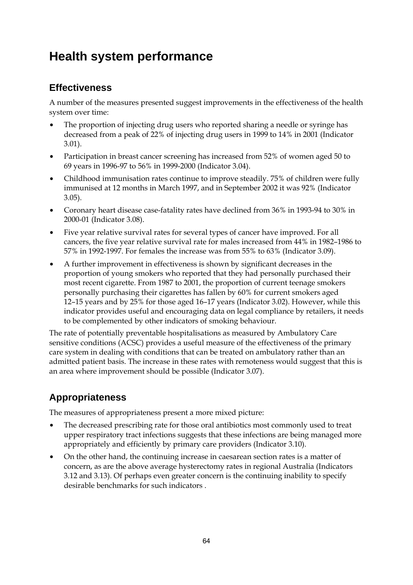### **Health system performance**

### **Effectiveness**

A number of the measures presented suggest improvements in the effectiveness of the health system over time:

- The proportion of injecting drug users who reported sharing a needle or syringe has decreased from a peak of 22% of injecting drug users in 1999 to 14% in 2001 (Indicator 3.01).
- Participation in breast cancer screening has increased from 52% of women aged 50 to 69 years in 1996-97 to 56% in 1999-2000 (Indicator 3.04).
- Childhood immunisation rates continue to improve steadily. 75% of children were fully immunised at 12 months in March 1997, and in September 2002 it was 92% (Indicator 3.05).
- Coronary heart disease case-fatality rates have declined from 36% in 1993-94 to 30% in 2000-01 (Indicator 3.08).
- Five year relative survival rates for several types of cancer have improved. For all cancers, the five year relative survival rate for males increased from 44% in 1982–1986 to 57% in 1992-1997. For females the increase was from 55% to 63% (Indicator 3.09).
- A further improvement in effectiveness is shown by significant decreases in the proportion of young smokers who reported that they had personally purchased their most recent cigarette. From 1987 to 2001, the proportion of current teenage smokers personally purchasing their cigarettes has fallen by 60% for current smokers aged 12–15 years and by 25% for those aged 16–17 years (Indicator 3.02). However, while this indicator provides useful and encouraging data on legal compliance by retailers, it needs to be complemented by other indicators of smoking behaviour.

The rate of potentially preventable hospitalisations as measured by Ambulatory Care sensitive conditions (ACSC) provides a useful measure of the effectiveness of the primary care system in dealing with conditions that can be treated on ambulatory rather than an admitted patient basis. The increase in these rates with remoteness would suggest that this is an area where improvement should be possible (Indicator 3.07).

### **Appropriateness**

The measures of appropriateness present a more mixed picture:

- The decreased prescribing rate for those oral antibiotics most commonly used to treat upper respiratory tract infections suggests that these infections are being managed more appropriately and efficiently by primary care providers (Indicator 3.10).
- On the other hand, the continuing increase in caesarean section rates is a matter of concern, as are the above average hysterectomy rates in regional Australia (Indicators 3.12 and 3.13). Of perhaps even greater concern is the continuing inability to specify desirable benchmarks for such indicators .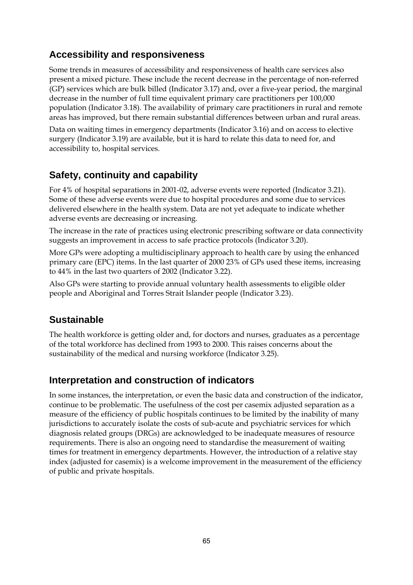### **Accessibility and responsiveness**

Some trends in measures of accessibility and responsiveness of health care services also present a mixed picture. These include the recent decrease in the percentage of non-referred (GP) services which are bulk billed (Indicator 3.17) and, over a five-year period, the marginal decrease in the number of full time equivalent primary care practitioners per 100,000 population (Indicator 3.18). The availability of primary care practitioners in rural and remote areas has improved, but there remain substantial differences between urban and rural areas.

Data on waiting times in emergency departments (Indicator 3.16) and on access to elective surgery (Indicator 3.19) are available, but it is hard to relate this data to need for, and accessibility to, hospital services.

### **Safety, continuity and capability**

For 4% of hospital separations in 2001-02, adverse events were reported (Indicator 3.21). Some of these adverse events were due to hospital procedures and some due to services delivered elsewhere in the health system. Data are not yet adequate to indicate whether adverse events are decreasing or increasing.

The increase in the rate of practices using electronic prescribing software or data connectivity suggests an improvement in access to safe practice protocols (Indicator 3.20).

More GPs were adopting a multidisciplinary approach to health care by using the enhanced primary care (EPC) items. In the last quarter of 2000 23% of GPs used these items, increasing to 44% in the last two quarters of 2002 (Indicator 3.22).

Also GPs were starting to provide annual voluntary health assessments to eligible older people and Aboriginal and Torres Strait Islander people (Indicator 3.23).

### **Sustainable**

The health workforce is getting older and, for doctors and nurses, graduates as a percentage of the total workforce has declined from 1993 to 2000. This raises concerns about the sustainability of the medical and nursing workforce (Indicator 3.25).

### **Interpretation and construction of indicators**

In some instances, the interpretation, or even the basic data and construction of the indicator, continue to be problematic. The usefulness of the cost per casemix adjusted separation as a measure of the efficiency of public hospitals continues to be limited by the inability of many jurisdictions to accurately isolate the costs of sub-acute and psychiatric services for which diagnosis related groups (DRGs) are acknowledged to be inadequate measures of resource requirements. There is also an ongoing need to standardise the measurement of waiting times for treatment in emergency departments. However, the introduction of a relative stay index (adjusted for casemix) is a welcome improvement in the measurement of the efficiency of public and private hospitals.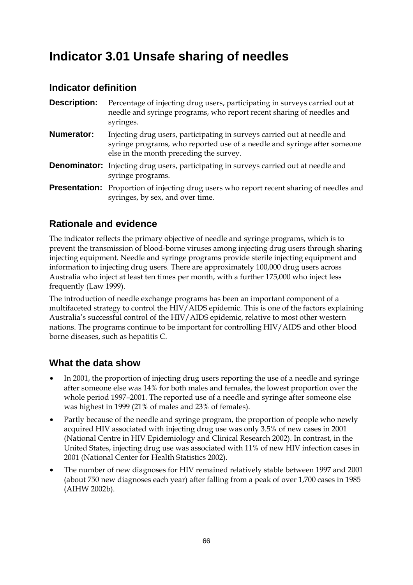### **Indicator 3.01 Unsafe sharing of needles**

### **Indicator definition**

| <b>Description:</b> | Percentage of injecting drug users, participating in surveys carried out at<br>needle and syringe programs, who report recent sharing of needles and<br>syringes.                               |
|---------------------|-------------------------------------------------------------------------------------------------------------------------------------------------------------------------------------------------|
| <b>Numerator:</b>   | Injecting drug users, participating in surveys carried out at needle and<br>syringe programs, who reported use of a needle and syringe after someone<br>else in the month preceding the survey. |
|                     | <b>Denominator:</b> Injecting drug users, participating in surveys carried out at needle and<br>syringe programs.                                                                               |
|                     | <b>Presentation:</b> Proportion of injecting drug users who report recent sharing of needles and<br>syringes, by sex, and over time.                                                            |

### **Rationale and evidence**

The indicator reflects the primary objective of needle and syringe programs, which is to prevent the transmission of blood-borne viruses among injecting drug users through sharing injecting equipment. Needle and syringe programs provide sterile injecting equipment and information to injecting drug users. There are approximately 100,000 drug users across Australia who inject at least ten times per month, with a further 175,000 who inject less frequently (Law 1999).

The introduction of needle exchange programs has been an important component of a multifaceted strategy to control the HIV/AIDS epidemic. This is one of the factors explaining Australia's successful control of the HIV/AIDS epidemic, relative to most other western nations. The programs continue to be important for controlling HIV/AIDS and other blood borne diseases, such as hepatitis C.

### **What the data show**

- In 2001, the proportion of injecting drug users reporting the use of a needle and syringe after someone else was 14% for both males and females, the lowest proportion over the whole period 1997–2001. The reported use of a needle and syringe after someone else was highest in 1999 (21% of males and 23% of females).
- Partly because of the needle and syringe program, the proportion of people who newly acquired HIV associated with injecting drug use was only 3.5% of new cases in 2001 (National Centre in HIV Epidemiology and Clinical Research 2002). In contrast, in the United States, injecting drug use was associated with 11% of new HIV infection cases in 2001 (National Center for Health Statistics 2002).
- The number of new diagnoses for HIV remained relatively stable between 1997 and 2001 (about 750 new diagnoses each year) after falling from a peak of over 1,700 cases in 1985 (AIHW 2002b).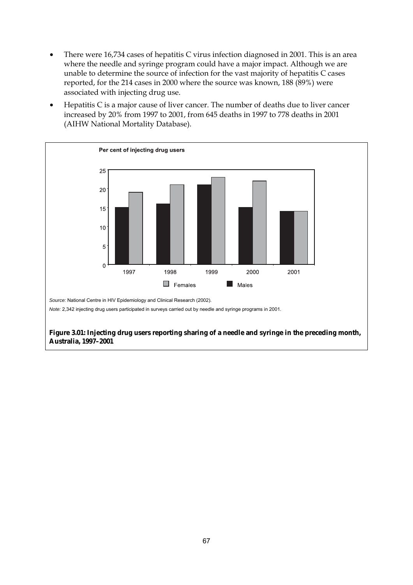- There were 16,734 cases of hepatitis C virus infection diagnosed in 2001. This is an area where the needle and syringe program could have a major impact. Although we are unable to determine the source of infection for the vast majority of hepatitis C cases reported, for the 214 cases in 2000 where the source was known, 188 (89%) were associated with injecting drug use.
- Hepatitis C is a major cause of liver cancer. The number of deaths due to liver cancer increased by 20% from 1997 to 2001, from 645 deaths in 1997 to 778 deaths in 2001 (AIHW National Mortality Database).



**Figure 3.01: Injecting drug users reporting sharing of a needle and syringe in the preceding month, Australia, 1997–2001**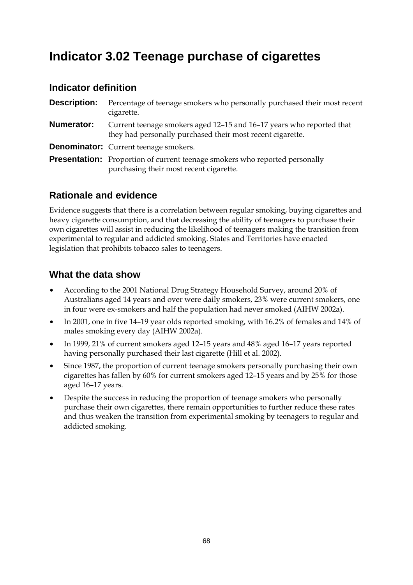### **Indicator 3.02 Teenage purchase of cigarettes**

#### **Indicator definition**

**Description:** Percentage of teenage smokers who personally purchased their most recent cigarette. **Numerator:** Current teenage smokers aged 12–15 and 16–17 years who reported that they had personally purchased their most recent cigarette. **Denominator:** Current teenage smokers. **Presentation:** Proportion of current teenage smokers who reported personally purchasing their most recent cigarette.

### **Rationale and evidence**

Evidence suggests that there is a correlation between regular smoking, buying cigarettes and heavy cigarette consumption, and that decreasing the ability of teenagers to purchase their own cigarettes will assist in reducing the likelihood of teenagers making the transition from experimental to regular and addicted smoking. States and Territories have enacted legislation that prohibits tobacco sales to teenagers.

### **What the data show**

- According to the 2001 National Drug Strategy Household Survey, around 20% of Australians aged 14 years and over were daily smokers, 23% were current smokers, one in four were ex-smokers and half the population had never smoked (AIHW 2002a).
- In 2001, one in five 14–19 year olds reported smoking, with 16.2% of females and 14% of males smoking every day (AIHW 2002a).
- In 1999, 21% of current smokers aged 12–15 years and 48% aged 16–17 years reported having personally purchased their last cigarette (Hill et al. 2002).
- Since 1987, the proportion of current teenage smokers personally purchasing their own cigarettes has fallen by 60% for current smokers aged 12–15 years and by 25% for those aged 16–17 years.
- Despite the success in reducing the proportion of teenage smokers who personally purchase their own cigarettes, there remain opportunities to further reduce these rates and thus weaken the transition from experimental smoking by teenagers to regular and addicted smoking.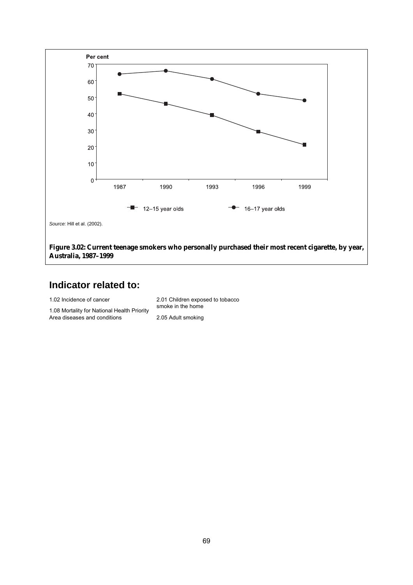

1.02 Incidence of cancer

1.08 Mortality for National Health Priority Area diseases and conditions

2.01 Children exposed to tobacco smoke in the home 2.05 Adult smoking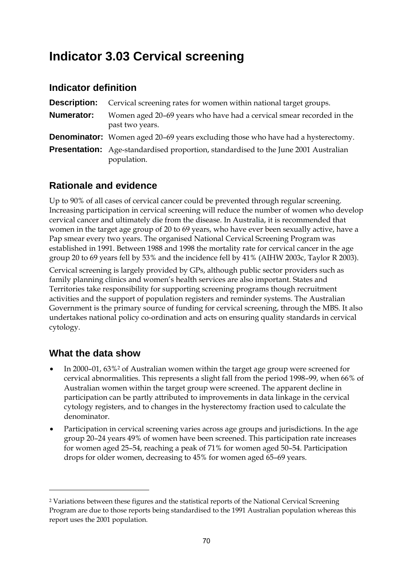### **Indicator 3.03 Cervical screening**

### **Indicator definition**

| <b>Description:</b> | Cervical screening rates for women within national target groups.                                         |
|---------------------|-----------------------------------------------------------------------------------------------------------|
| Numerator:          | Women aged 20–69 years who have had a cervical smear recorded in the<br>past two years.                   |
|                     | <b>Denominator:</b> Women aged 20–69 years excluding those who have had a hysterectomy.                   |
|                     | <b>Presentation:</b> Age-standardised proportion, standardised to the June 2001 Australian<br>population. |

### **Rationale and evidence**

Up to 90% of all cases of cervical cancer could be prevented through regular screening. Increasing participation in cervical screening will reduce the number of women who develop cervical cancer and ultimately die from the disease. In Australia, it is recommended that women in the target age group of 20 to 69 years, who have ever been sexually active, have a Pap smear every two years. The organised National Cervical Screening Program was established in 1991. Between 1988 and 1998 the mortality rate for cervical cancer in the age group 20 to 69 years fell by 53% and the incidence fell by 41% (AIHW 2003c, Taylor R 2003).

Cervical screening is largely provided by GPs, although public sector providers such as family planning clinics and women's health services are also important. States and Territories take responsibility for supporting screening programs though recruitment activities and the support of population registers and reminder systems. The Australian Government is the primary source of funding for cervical screening, through the MBS. It also undertakes national policy co-ordination and acts on ensuring quality standards in cervical cytology.

### **What the data show**

 $\ddot{\phantom{a}}$ 

- In 2000–01, 63%<sup>2</sup> of Australian women within the target age group were screened for cervical abnormalities. This represents a slight fall from the period 1998–99, when 66% of Australian women within the target group were screened. The apparent decline in participation can be partly attributed to improvements in data linkage in the cervical cytology registers, and to changes in the hysterectomy fraction used to calculate the denominator.
- Participation in cervical screening varies across age groups and jurisdictions. In the age group 20–24 years 49% of women have been screened. This participation rate increases for women aged 25–54, reaching a peak of 71% for women aged 50–54. Participation drops for older women, decreasing to 45% for women aged 65–69 years.

<sup>2</sup> Variations between these figures and the statistical reports of the National Cervical Screening Program are due to those reports being standardised to the 1991 Australian population whereas this report uses the 2001 population.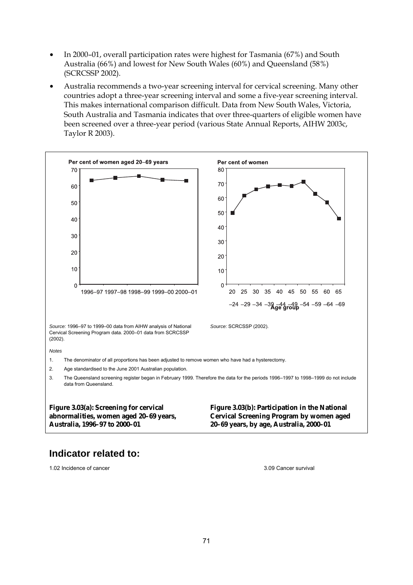- In 2000–01, overall participation rates were highest for Tasmania (67%) and South Australia (66%) and lowest for New South Wales (60%) and Queensland (58%) (SCRCSSP 2002).
- Australia recommends a two-year screening interval for cervical screening. Many other countries adopt a three-year screening interval and some a five-year screening interval. This makes international comparison difficult. Data from New South Wales, Victoria, South Australia and Tasmania indicates that over three-quarters of eligible women have been screened over a three-year period (various State Annual Reports, AIHW 2003c, Taylor R 2003).



1.02 Incidence of cancer 3.09 Cancer survival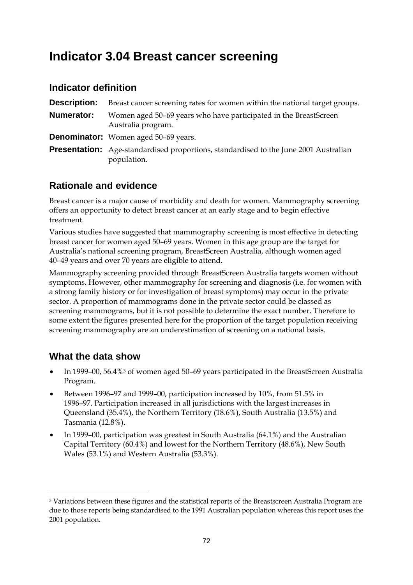### **Indicator 3.04 Breast cancer screening**

#### **Indicator definition**

| <b>Description:</b> | Breast cancer screening rates for women within the national target groups.                                 |
|---------------------|------------------------------------------------------------------------------------------------------------|
| Numerator:          | Women aged 50-69 years who have participated in the BreastScreen<br>Australia program.                     |
|                     | <b>Denominator:</b> Women aged 50-69 years.                                                                |
|                     | <b>Presentation:</b> Age-standardised proportions, standardised to the June 2001 Australian<br>population. |

### **Rationale and evidence**

Breast cancer is a major cause of morbidity and death for women. Mammography screening offers an opportunity to detect breast cancer at an early stage and to begin effective treatment.

Various studies have suggested that mammography screening is most effective in detecting breast cancer for women aged 50–69 years. Women in this age group are the target for Australia's national screening program, BreastScreen Australia, although women aged 40–49 years and over 70 years are eligible to attend.

Mammography screening provided through BreastScreen Australia targets women without symptoms. However, other mammography for screening and diagnosis (i.e. for women with a strong family history or for investigation of breast symptoms) may occur in the private sector. A proportion of mammograms done in the private sector could be classed as screening mammograms, but it is not possible to determine the exact number. Therefore to some extent the figures presented here for the proportion of the target population receiving screening mammography are an underestimation of screening on a national basis.

### **What the data show**

 $\ddot{\phantom{a}}$ 

- In 1999–00, 56.4%<sup>3</sup> of women aged 50–69 years participated in the BreastScreen Australia Program.
- Between 1996–97 and 1999–00, participation increased by 10%, from 51.5% in 1996–97. Participation increased in all jurisdictions with the largest increases in Queensland (35.4%), the Northern Territory (18.6%), South Australia (13.5%) and Tasmania (12.8%).
- In 1999–00, participation was greatest in South Australia (64.1%) and the Australian Capital Territory (60.4%) and lowest for the Northern Territory (48.6%), New South Wales (53.1%) and Western Australia (53.3%).

<sup>3</sup> Variations between these figures and the statistical reports of the Breastscreen Australia Program are due to those reports being standardised to the 1991 Australian population whereas this report uses the 2001 population.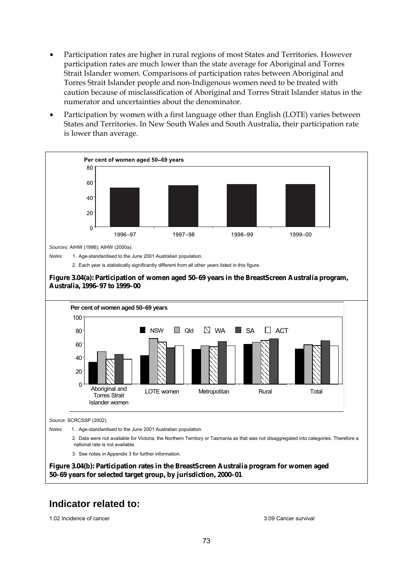- Participation rates are higher in rural regions of most States and Territories. However participation rates are much lower than the state average for Aboriginal and Torres Strait Islander women. Comparisons of participation rates between Aboriginal and Torres Strait Islander people and non-Indigenous women need to be treated with caution because of misclassification of Aboriginal and Torres Strait Islander status in the numerator and uncertainties about the denominator.
- Participation by women with a first language other than English (LOTE) varies between States and Territories. In New South Wales and South Australia, their participation rate is lower than average.



1.02 Incidence of cancer 3.09 Cancer survival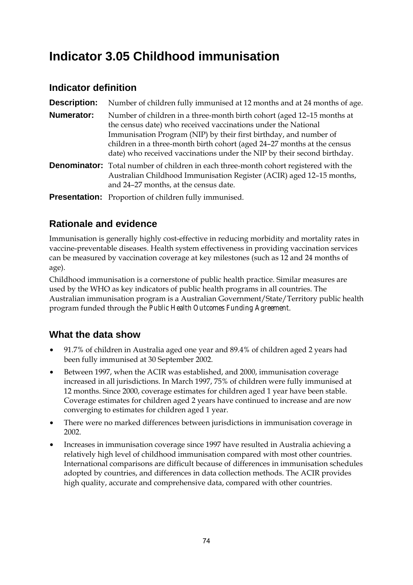## **Indicator 3.05 Childhood immunisation**

### **Indicator definition**

| <b>Description:</b> | Number of children fully immunised at 12 months and at 24 months of age.                                                                                                                                                                                                                                                                                           |
|---------------------|--------------------------------------------------------------------------------------------------------------------------------------------------------------------------------------------------------------------------------------------------------------------------------------------------------------------------------------------------------------------|
| <b>Numerator:</b>   | Number of children in a three-month birth cohort (aged 12–15 months at<br>the census date) who received vaccinations under the National<br>Immunisation Program (NIP) by their first birthday, and number of<br>children in a three-month birth cohort (aged 24-27 months at the census<br>date) who received vaccinations under the NIP by their second birthday. |
|                     | <b>Denominator:</b> Total number of children in each three-month cohort registered with the<br>Australian Childhood Immunisation Register (ACIR) aged 12-15 months,<br>and 24-27 months, at the census date.                                                                                                                                                       |
|                     | <b>Presentation:</b> Proportion of children fully immunised.                                                                                                                                                                                                                                                                                                       |

### **Rationale and evidence**

Immunisation is generally highly cost-effective in reducing morbidity and mortality rates in vaccine-preventable diseases. Health system effectiveness in providing vaccination services can be measured by vaccination coverage at key milestones (such as 12 and 24 months of age).

Childhood immunisation is a cornerstone of public health practice. Similar measures are used by the WHO as key indicators of public health programs in all countries. The Australian immunisation program is a Australian Government/State/Territory public health program funded through the *Public Health Outcomes Funding Agreement*.

### **What the data show**

- 91.7% of children in Australia aged one year and 89.4% of children aged 2 years had been fully immunised at 30 September 2002.
- Between 1997, when the ACIR was established, and 2000, immunisation coverage increased in all jurisdictions. In March 1997, 75% of children were fully immunised at 12 months. Since 2000, coverage estimates for children aged 1 year have been stable. Coverage estimates for children aged 2 years have continued to increase and are now converging to estimates for children aged 1 year.
- There were no marked differences between jurisdictions in immunisation coverage in 2002.
- Increases in immunisation coverage since 1997 have resulted in Australia achieving a relatively high level of childhood immunisation compared with most other countries. International comparisons are difficult because of differences in immunisation schedules adopted by countries, and differences in data collection methods. The ACIR provides high quality, accurate and comprehensive data, compared with other countries.